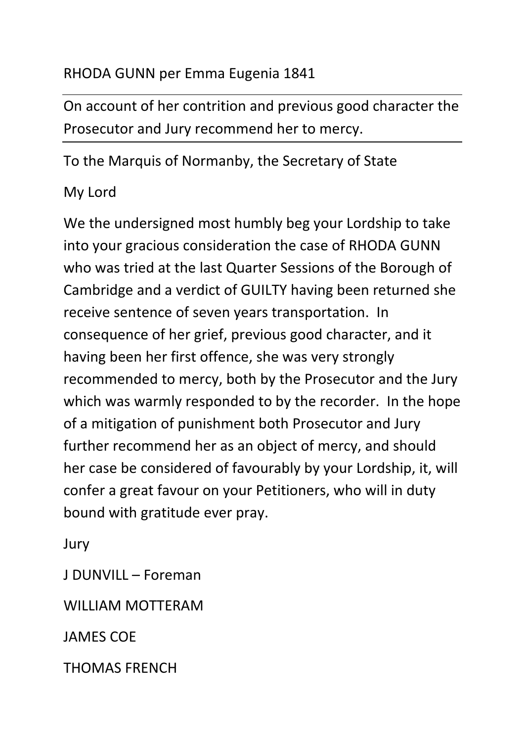## RHODA GUNN per Emma Eugenia 1841

On account of her contrition and previous good character the Prosecutor and Jury recommend her to mercy.

To the Marquis of Normanby, the Secretary of State

## My Lord

We the undersigned most humbly beg your Lordship to take into your gracious consideration the case of RHODA GUNN who was tried at the last Quarter Sessions of the Borough of Cambridge and a verdict of GUILTY having been returned she receive sentence of seven years transportation. In consequence of her grief, previous good character, and it having been her first offence, she was very strongly recommended to mercy, both by the Prosecutor and the Jury which was warmly responded to by the recorder. In the hope of a mitigation of punishment both Prosecutor and Jury further recommend her as an object of mercy, and should her case be considered of favourably by your Lordship, it, will confer a great favour on your Petitioners, who will in duty bound with gratitude ever pray.

Jury

J DUNVILL – Foreman

WILLIAM MOTTERAM

JAMES COE

THOMAS FRENCH